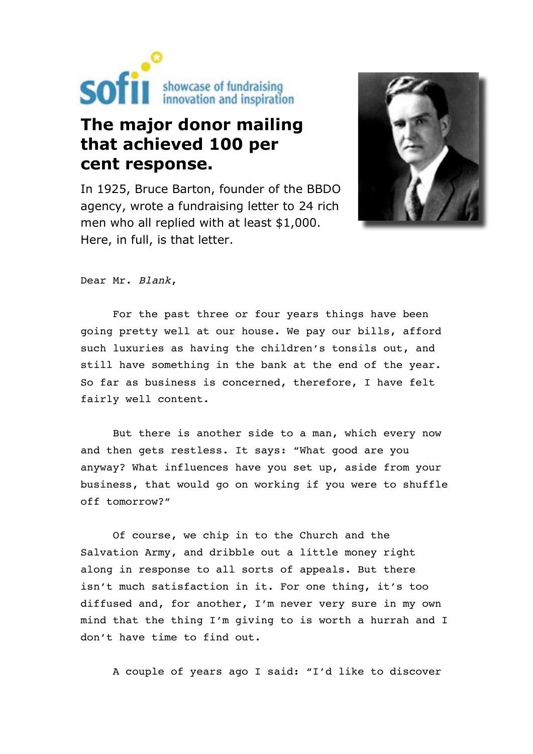

# **The major donor mailing that achieved 100 per cent response.**

In 1925, Bruce Barton, founder of the BBDO agency, wrote a fundraising letter to 24 rich men who all replied with at least \$1,000. Here, in full, is that letter.



Dear Mr. Blank,

For the past three or four years things have been going pretty well at our house. We pay our bills, afford such luxuries as having the children's tonsils out, and still have something in the bank at the end of the year. So far as business is concerned, therefore, I have felt fairly well content.

But there is another side to a man, which every now and then gets restless. It says: "What good are you anyway? What influences have you set up, aside from your business, that would go on working if you were to shuffle off tomorrow?"

Of course, we chip in to the Church and the Salvation Army, and dribble out a little money right along in response to all sorts of appeals. But there isn't much satisfaction in it. For one thing, it's too diffused and, for another, I'm never very sure in my own mind that the thing I'm giving to is worth a hurrah and I don't have time to find out.

A couple of years ago I said: "I'd like to discover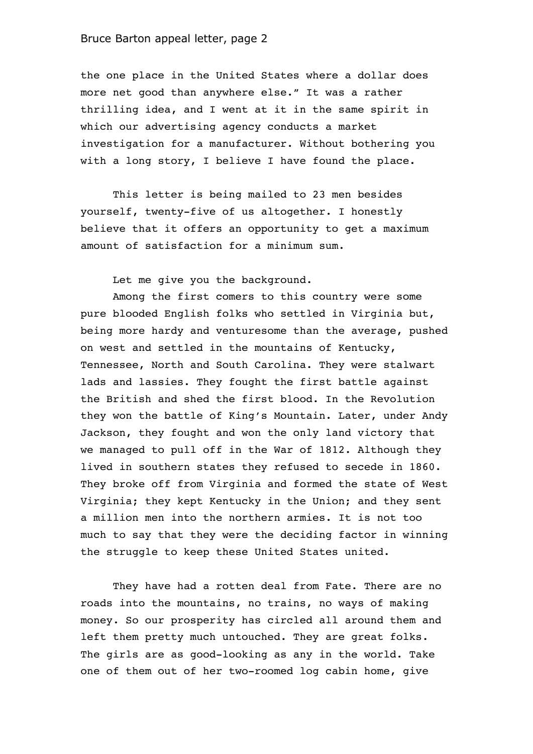the one place in the United States where a dollar does more net good than anywhere else." It was a rather thrilling idea, and I went at it in the same spirit in which our advertising agency conducts a market investigation for a manufacturer. Without bothering you with a long story, I believe I have found the place.

This letter is being mailed to 23 men besides yourself, twenty-five of us altogether. I honestly believe that it offers an opportunity to get a maximum amount of satisfaction for a minimum sum.

Let me give you the background.

Among the first comers to this country were some pure blooded English folks who settled in Virginia but, being more hardy and venturesome than the average, pushed on west and settled in the mountains of Kentucky, Tennessee, North and South Carolina. They were stalwart lads and lassies. They fought the first battle against the British and shed the first blood. In the Revolution they won the battle of King's Mountain. Later, under Andy Jackson, they fought and won the only land victory that we managed to pull off in the War of 1812. Although they lived in southern states they refused to secede in 1860. They broke off from Virginia and formed the state of West Virginia; they kept Kentucky in the Union; and they sent a million men into the northern armies. It is not too much to say that they were the deciding factor in winning the struggle to keep these United States united.

They have had a rotten deal from Fate. There are no roads into the mountains, no trains, no ways of making money. So our prosperity has circled all around them and left them pretty much untouched. They are great folks. The girls are as good-looking as any in the world. Take one of them out of her two-roomed log cabin home, give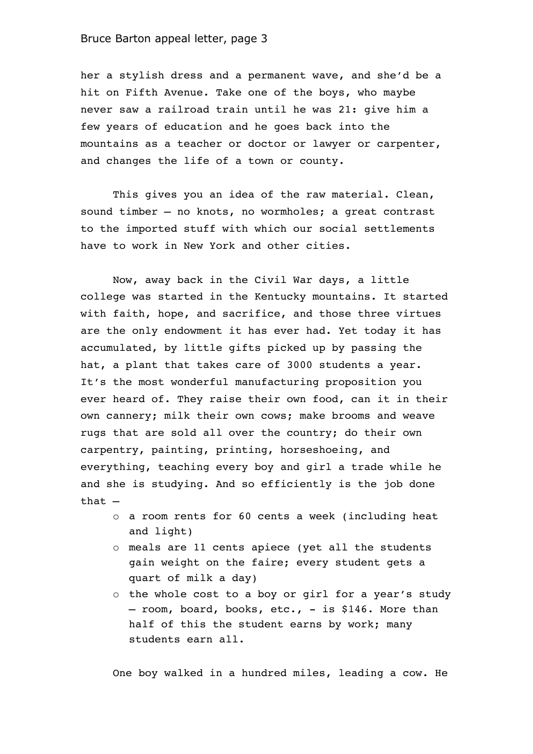her a stylish dress and a permanent wave, and she'd be a hit on Fifth Avenue. Take one of the boys, who maybe never saw a railroad train until he was 21: give him a few years of education and he goes back into the mountains as a teacher or doctor or lawyer or carpenter, and changes the life of a town or county.

This gives you an idea of the raw material. Clean, sound timber – no knots, no wormholes; a great contrast to the imported stuff with which our social settlements have to work in New York and other cities.

Now, away back in the Civil War days, a little college was started in the Kentucky mountains. It started with faith, hope, and sacrifice, and those three virtues are the only endowment it has ever had. Yet today it has accumulated, by little gifts picked up by passing the hat, a plant that takes care of 3000 students a year. It's the most wonderful manufacturing proposition you ever heard of. They raise their own food, can it in their own cannery; milk their own cows; make brooms and weave rugs that are sold all over the country; do their own carpentry, painting, printing, horseshoeing, and everything, teaching every boy and girl a trade while he and she is studying. And so efficiently is the job done that –

- o a room rents for 60 cents a week (including heat and light)
- o meals are 11 cents apiece (yet all the students gain weight on the faire; every student gets a quart of milk a day)
- o the whole cost to a boy or girl for a year's study – room, board, books, etc., - is \$146. More than half of this the student earns by work; many students earn all.

One boy walked in a hundred miles, leading a cow. He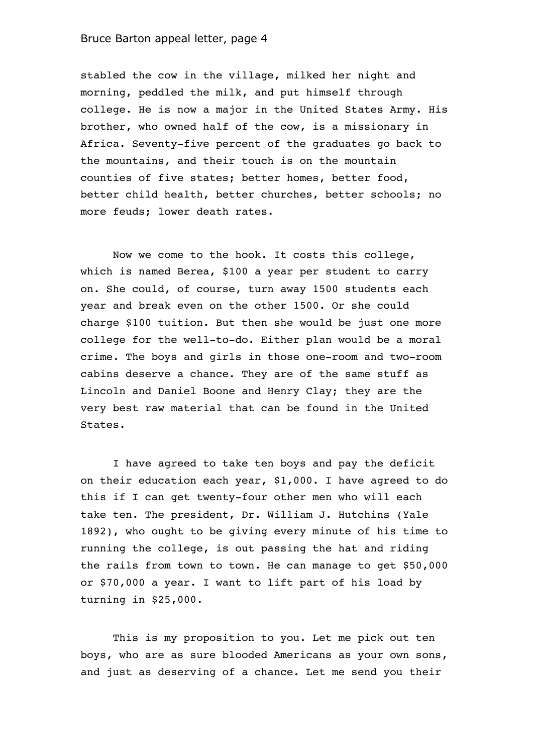stabled the cow in the village, milked her night and morning, peddled the milk, and put himself through college. He is now a major in the United States Army. His brother, who owned half of the cow, is a missionary in Africa. Seventy-five percent of the graduates go back to the mountains, and their touch is on the mountain counties of five states; better homes, better food, better child health, better churches, better schools; no more feuds; lower death rates.

Now we come to the hook. It costs this college, which is named Berea, \$100 a year per student to carry on. She could, of course, turn away 1500 students each year and break even on the other 1500. Or she could charge \$100 tuition. But then she would be just one more college for the well-to-do. Either plan would be a moral crime. The boys and girls in those one-room and two-room cabins deserve a chance. They are of the same stuff as Lincoln and Daniel Boone and Henry Clay; they are the very best raw material that can be found in the United States.

I have agreed to take ten boys and pay the deficit on their education each year, \$1,000. I have agreed to do this if I can get twenty-four other men who will each take ten. The president, Dr. William J. Hutchins (Yale 1892), who ought to be giving every minute of his time to running the college, is out passing the hat and riding the rails from town to town. He can manage to get \$50,000 or \$70,000 a year. I want to lift part of his load by turning in \$25,000.

This is my proposition to you. Let me pick out ten boys, who are as sure blooded Americans as your own sons, and just as deserving of a chance. Let me send you their